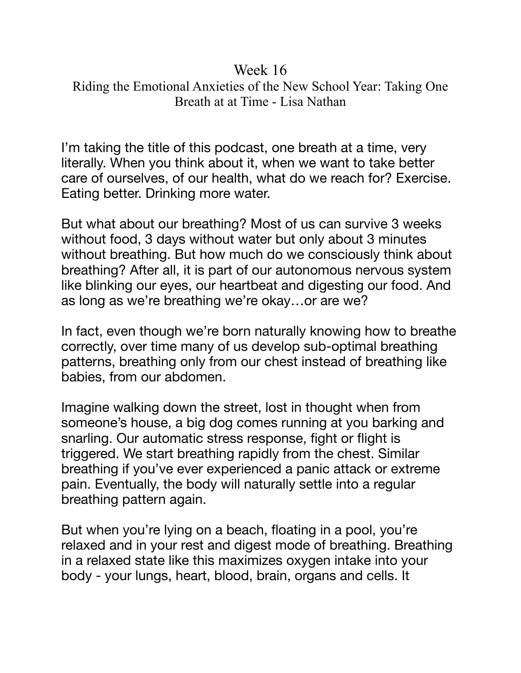## Week 16 Riding the Emotional Anxieties of the New School Year: Taking One Breath at at Time - Lisa Nathan

I'm taking the title of this podcast, one breath at a time, very literally. When you think about it, when we want to take better care of ourselves, of our health, what do we reach for? Exercise. Eating better. Drinking more water.

But what about our breathing? Most of us can survive 3 weeks without food, 3 days without water but only about 3 minutes without breathing. But how much do we consciously think about breathing? After all, it is part of our autonomous nervous system like blinking our eyes, our heartbeat and digesting our food. And as long as we're breathing we're okay…or are we?

In fact, even though we're born naturally knowing how to breathe correctly, over time many of us develop sub-optimal breathing patterns, breathing only from our chest instead of breathing like babies, from our abdomen.

Imagine walking down the street, lost in thought when from someone's house, a big dog comes running at you barking and snarling. Our automatic stress response, fight or flight is triggered. We start breathing rapidly from the chest. Similar breathing if you've ever experienced a panic attack or extreme pain. Eventually, the body will naturally settle into a regular breathing pattern again.

But when you're lying on a beach, floating in a pool, you're relaxed and in your rest and digest mode of breathing. Breathing in a relaxed state like this maximizes oxygen intake into your body - your lungs, heart, blood, brain, organs and cells. It